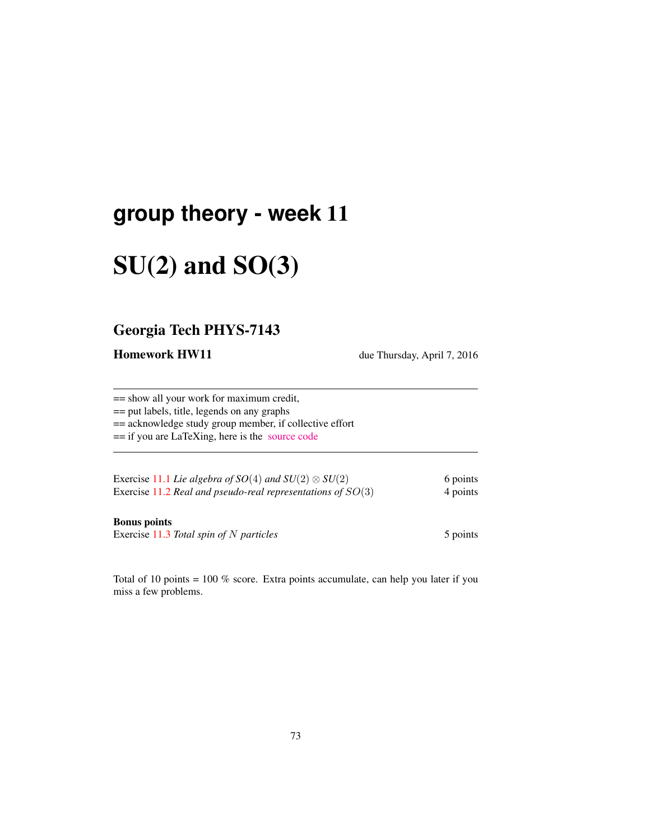## **group theory - week** 11

# $SU(2)$  and  $SO(3)$

### Georgia Tech PHYS-7143

Homework HW11 due Thursday, April 7, 2016

== show all your work for maximum credit, == put labels, title, legends on any graphs == acknowledge study group member, if collective effort == if you are LaTeXing, here is the [source code](http://birdtracks.eu/courses/PHYS-7143-16/exerWeek11.tex) Exercise 11.1 *Lie algebra of SO*(4) *and SU*(2)  $\otimes$  *SU*(2) 6 points Exercise 11.2 *Real and pseudo-real representations of* SO(3) 4 points

#### Bonus points

Exercise 11.3 *Total spin of* N *particles* 5 points 5 points

Total of 10 points = 100 % score. Extra points accumulate, can help you later if you miss a few problems.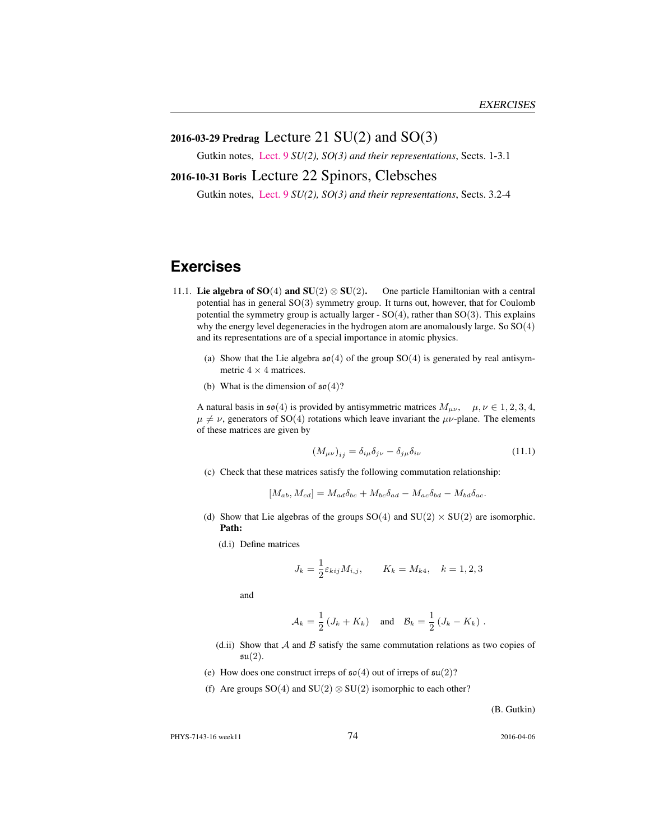#### 2016-03-29 Predrag Lecture 21 SU(2) and SO(3)

Gutkin notes, [Lect. 9](http://birdtracks.eu/courses/PHYS-7143-16/groups.pdf) *SU(2), SO(3) and their representations*, Sects. 1-3.1

#### 2016-10-31 Boris Lecture 22 Spinors, Clebsches

Gutkin notes, [Lect. 9](http://birdtracks.eu/courses/PHYS-7143-16/groups.pdf) *SU(2), SO(3) and their representations*, Sects. 3.2-4

## **Exercises**

- 11.1. Lie algebra of SO(4) and SU(2)  $\otimes$  SU(2). One particle Hamiltonian with a central potential has in general SO(3) symmetry group. It turns out, however, that for Coulomb potential the symmetry group is actually larger -  $SO(4)$ , rather than  $SO(3)$ . This explains why the energy level degeneracies in the hydrogen atom are anomalously large. So SO(4) and its representations are of a special importance in atomic physics.
	- (a) Show that the Lie algebra  $\mathfrak{so}(4)$  of the group SO(4) is generated by real antisymmetric  $4 \times 4$  matrices.
	- (b) What is the dimension of  $\mathfrak{so}(4)$ ?

A natural basis in  $\mathfrak{so}(4)$  is provided by antisymmetric matrices  $M_{\mu\nu}$ ,  $\mu, \nu \in 1, 2, 3, 4$ ,  $\mu \neq \nu$ , generators of SO(4) rotations which leave invariant the  $\mu \nu$ -plane. The elements of these matrices are given by

$$
\left(M_{\mu\nu}\right)_{ij} = \delta_{i\mu}\delta_{j\nu} - \delta_{j\mu}\delta_{i\nu} \tag{11.1}
$$

(c) Check that these matrices satisfy the following commutation relationship:

$$
[M_{ab}, M_{cd}] = M_{ad}\delta_{bc} + M_{bc}\delta_{ad} - M_{ac}\delta_{bd} - M_{bd}\delta_{ac}.
$$

- (d) Show that Lie algebras of the groups  $SO(4)$  and  $SU(2) \times SU(2)$  are isomorphic. Path:
	- (d.i) Define matrices

$$
J_k = \frac{1}{2} \varepsilon_{kij} M_{i,j}, \qquad K_k = M_{k4}, \quad k = 1, 2, 3
$$

and

$$
\mathcal{A}_k = \frac{1}{2} \left( J_k + K_k \right) \quad \text{and} \quad \mathcal{B}_k = \frac{1}{2} \left( J_k - K_k \right) .
$$

- (d.ii) Show that  $A$  and  $B$  satisfy the same commutation relations as two copies of  $\mathfrak{su}(2)$ .
- (e) How does one construct irreps of  $\mathfrak{so}(4)$  out of irreps of  $\mathfrak{su}(2)$ ?
- (f) Are groups  $SO(4)$  and  $SU(2) \otimes SU(2)$  isomorphic to each other?

(B. Gutkin)

PHYS-7143-16 week11 2016-04-06